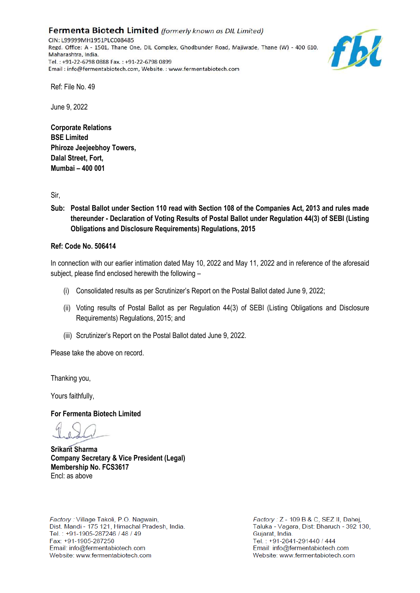Fermenta Biotech Limited (formerly known as DIL Limited) CIN: L99999MH1951PLC008485 Regd. Office: A - 1501, Thane One, DIL Complex, Ghodbunder Road, Majiwade, Thane (W) - 400 610, Maharashtra, India. Tel.: +91-22-6798 0888 Fax.: +91-22-6798 0899 Email: info@fermentabiotech.com, Website.: www.fermentabiotech.com



Ref: File No. 49

June 9, 2022

**Corporate Relations BSE Limited Phiroze Jeejeebhoy Towers, Dalal Street, Fort, Mumbai – 400 001** 

Sir,

**Sub: Postal Ballot under Section 110 read with Section 108 of the Companies Act, 2013 and rules made thereunder - Declaration of Voting Results of Postal Ballot under Regulation 44(3) of SEBI (Listing Obligations and Disclosure Requirements) Regulations, 2015**

#### **Ref: Code No. 506414**

In connection with our earlier intimation dated May 10, 2022 and May 11, 2022 and in reference of the aforesaid subject, please find enclosed herewith the following –

- (i) Consolidated results as per Scrutinizer's Report on the Postal Ballot dated June 9, 2022;
- (ii) Voting results of Postal Ballot as per Regulation 44(3) of SEBI (Listing Obligations and Disclosure Requirements) Regulations, 2015; and
- (iii) Scrutinizer's Report on the Postal Ballot dated June 9, 2022.

Please take the above on record.

Thanking you,

Yours faithfully,

**For Fermenta Biotech Limited** 

**Srikant Sharma Company Secretary & Vice President (Legal) Membership No. FCS3617** Encl: as above

Factory: Village Takoli, P.O. Nagwain, Dist. Mandi - 175 121, Himachal Pradesh, India. Tel.: +91-1905-287246 / 48 / 49 Fax: +91-1905-287250 Email: info@fermentabiotech.com Website: www.fermentabiotech.com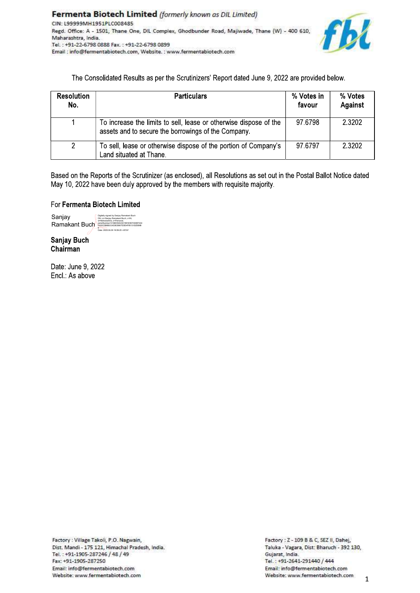

The Consolidated Results as per the Scrutinizers' Report dated June 9, 2022 are provided below.

| <b>Resolution</b><br>No. | <b>Particulars</b>                                                                                                       | % Votes in<br>favour | % Votes<br>Against |
|--------------------------|--------------------------------------------------------------------------------------------------------------------------|----------------------|--------------------|
|                          | To increase the limits to sell, lease or otherwise dispose of the<br>assets and to secure the borrowings of the Company. | 97 6798              | 2 3 2 0 2          |
| 2                        | To sell, lease or otherwise dispose of the portion of Company's<br>Land situated at Thane.                               | 97.6797              | 2 3 2 0 2          |

Based on the Reports of the Scrutinizer (as enclosed), all Resolutions as set out in the Postal Ballot Notice dated May 10, 2022 have been duly approved by the members with requisite majority.

### For Fermenta Biotech Limited

022.06.09.10-50-25.40530

Sanjay Ramakant Buch

**Sanjay Buch** Chairman

Date: June 9, 2022 Encl.: As above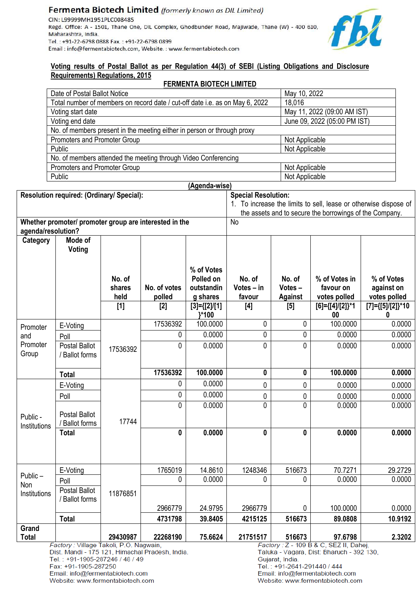#### Fermenta Biotech Limited (formerly known as DIL Limited) CIN: L99999MH1951PLC008485 Regd. Office: A - 1501, Thane One, DIL Complex, Ghodbunder Road, Majiwade, Thane (W) - 400 610, Maharashtra, India. Tel.: +91-22-6798 0888 Fax.: +91-22-6798 0899 Email: info@fermentabiotech.com, Website.: www.fermentabiotech.com



#### Voting results of Postal Ballot as per Regulation 44(3) of SEBI (Listing Obligations and Disclosure **Requirements) Regulations, 2015 COMENTA DIOTECH LIMITED**

| FERMENTA BIOTECH LIMITED                                                     |                              |  |  |  |  |  |
|------------------------------------------------------------------------------|------------------------------|--|--|--|--|--|
| Date of Postal Ballot Notice                                                 | May 10, 2022                 |  |  |  |  |  |
| Total number of members on record date / cut-off date i.e. as on May 6, 2022 | 18,016                       |  |  |  |  |  |
| Voting start date                                                            | May 11, 2022 (09:00 AM IST)  |  |  |  |  |  |
| Voting end date                                                              | June 09, 2022 (05:00 PM IST) |  |  |  |  |  |
| No. of members present in the meeting either in person or through proxy      |                              |  |  |  |  |  |
| Promoters and Promoter Group                                                 | Not Applicable               |  |  |  |  |  |
| Public                                                                       | Not Applicable               |  |  |  |  |  |
| No. of members attended the meeting through Video Conferencing               |                              |  |  |  |  |  |
| Promoters and Promoter Group<br>Not Applicable                               |                              |  |  |  |  |  |
| Public                                                                       | Not Applicable               |  |  |  |  |  |

|                                           |                                                        |          |                                                 | (Agenda-wise)                                                    |                            |                  |                                                                                     |                       |
|-------------------------------------------|--------------------------------------------------------|----------|-------------------------------------------------|------------------------------------------------------------------|----------------------------|------------------|-------------------------------------------------------------------------------------|-----------------------|
|                                           | Resolution required: (Ordinary/ Special):              |          |                                                 |                                                                  | <b>Special Resolution:</b> |                  |                                                                                     |                       |
|                                           |                                                        |          |                                                 | 1. To increase the limits to sell, lease or otherwise dispose of |                            |                  |                                                                                     |                       |
|                                           |                                                        |          |                                                 |                                                                  |                            |                  | the assets and to secure the borrowings of the Company.                             |                       |
|                                           | Whether promoter/ promoter group are interested in the |          |                                                 |                                                                  | <b>No</b>                  |                  |                                                                                     |                       |
| agenda/resolution?<br>Category<br>Mode of |                                                        |          |                                                 |                                                                  |                            |                  |                                                                                     |                       |
|                                           | Voting                                                 |          |                                                 |                                                                  |                            |                  |                                                                                     |                       |
|                                           |                                                        |          |                                                 | % of Votes                                                       |                            |                  |                                                                                     |                       |
|                                           |                                                        | No. of   |                                                 | Polled on                                                        | No. of                     | No. of           | % of Votes in                                                                       | % of Votes            |
|                                           |                                                        | shares   | No. of votes                                    | outstandin                                                       | Votes - in                 | Votes-           | favour on                                                                           | against on            |
|                                           |                                                        | held     | polled                                          | g shares                                                         | favour                     | <b>Against</b>   | votes polled                                                                        | votes polled          |
|                                           |                                                        | $[1]$    | $[2]$                                           | $[3] = \{ [2] / [1]$<br>}*100                                    | $[4]$                      | [5]              | $[6] = \{ [4] / [2] \}$ *1<br>00                                                    | [7]={[5]/[2]}*10<br>0 |
| Promoter                                  | E-Voting                                               |          | 17536392                                        | 100.0000                                                         | 0                          | 0                | 100.0000                                                                            | 0.0000                |
| and                                       | Poll                                                   |          | 0                                               | 0.0000                                                           | 0                          | 0                | 0.0000                                                                              | 0.0000                |
| Promoter                                  | <b>Postal Ballot</b>                                   | 17536392 | 0                                               | 0.0000                                                           | 0                          | 0                | 0.0000                                                                              | 0.0000                |
| Group                                     | / Ballot forms                                         |          |                                                 |                                                                  |                            |                  |                                                                                     |                       |
|                                           | <b>Total</b>                                           |          | 17536392                                        | 100.0000                                                         | 0                          | $\boldsymbol{0}$ | 100.0000                                                                            | 0.0000                |
|                                           | E-Voting                                               |          | 0                                               | 0.0000                                                           | 0                          | $\pmb{0}$        | 0.0000                                                                              | 0.0000                |
|                                           | Poll                                                   |          | 0                                               | 0.0000                                                           | 0                          | 0                | 0.0000                                                                              | 0.0000                |
|                                           |                                                        |          | 0                                               | 0.0000                                                           | $\mathbf 0$                | $\mathbf 0$      | 0.0000                                                                              | 0.0000                |
| Public -                                  | Postal Ballot                                          | 17744    |                                                 |                                                                  |                            |                  |                                                                                     |                       |
| Institutions                              | / Ballot forms<br><b>Total</b>                         |          | 0                                               | 0.0000                                                           | 0                          | 0                | 0.0000                                                                              | 0.0000                |
|                                           |                                                        |          |                                                 |                                                                  |                            |                  |                                                                                     |                       |
|                                           |                                                        |          |                                                 |                                                                  |                            |                  |                                                                                     |                       |
|                                           | E-Voting                                               |          | 1765019                                         | 14.8610                                                          | 1248346                    | 516673           | 70.7271                                                                             | 29.2729               |
| Public-                                   | Poll                                                   |          | 0                                               | 0.0000                                                           | 0                          | 0                | 0.0000                                                                              | 0.0000                |
| Non<br>Institutions                       | <b>Postal Ballot</b>                                   | 11876851 |                                                 |                                                                  |                            |                  |                                                                                     |                       |
|                                           | Ballot forms                                           |          | 2966779                                         | 24.9795                                                          | 2966779                    | 0                | 100.0000                                                                            | 0.0000                |
|                                           | <b>Total</b>                                           |          | 4731798                                         | 39.8405                                                          | 4215125                    | 516673           | 89.0808                                                                             | 10.9192               |
| Grand                                     |                                                        |          |                                                 |                                                                  |                            |                  |                                                                                     |                       |
| <b>Total</b>                              |                                                        | 29430987 | 22268190                                        | 75.6624                                                          | 21751517                   | 516673           | 97.6798                                                                             | 2.3202                |
|                                           | Factory: Village Takoli, P.O. Nagwain,                 |          | Dist. Mandi - 175 121, Himachal Pradesh, India. |                                                                  |                            |                  | Factory: Z - 109 B & C, SEZ II, Dahei,<br>Taluka - Vagara, Dist: Bharuch - 392 130, |                       |

Tel.: +91-1905-287246 / 48 / 49

Fax: +91-1905-287250

Email: info@fermentabiotech.com Website: www.fermentabiotech.com Gujarat, India. Tel.: +91-2641-291440 / 444 Email: info@fermentabiotech.com Website: www.fermentabiotech.com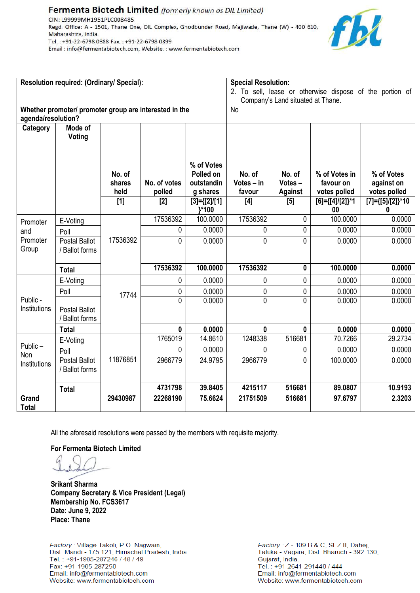### Fermenta Biotech Limited (formerly known as DIL Limited)

CIN: L99999MH1951PLC008485 Regd. Office: A - 1501, Thane One, DIL Complex, Ghodbunder Road, Majiwade, Thane (W) - 400 610, Maharashtra, India. Tel.: +91-22-6798 0888 Fax.: +91-22-6798 0899 Email: info@fermentabiotech.com, Website.: www.fermentabiotech.com



| Resolution required: (Ordinary/ Special):                                    |                                        |                          |                        | <b>Special Resolution:</b><br>2. To sell, lease or otherwise dispose of the portion of |                                  |                                    |                                            |                                          |
|------------------------------------------------------------------------------|----------------------------------------|--------------------------|------------------------|----------------------------------------------------------------------------------------|----------------------------------|------------------------------------|--------------------------------------------|------------------------------------------|
|                                                                              |                                        |                          |                        | Company's Land situated at Thane.                                                      |                                  |                                    |                                            |                                          |
| Whether promoter/ promoter group are interested in the<br>agenda/resolution? |                                        |                          | <b>No</b>              |                                                                                        |                                  |                                    |                                            |                                          |
| Category                                                                     | Mode of<br>Voting                      |                          |                        |                                                                                        |                                  |                                    |                                            |                                          |
|                                                                              |                                        | No. of<br>shares<br>held | No. of votes<br>polled | % of Votes<br>Polled on<br>outstandin<br>g shares                                      | No. of<br>Votes $-$ in<br>favour | No. of<br>Votes-<br><b>Against</b> | % of Votes in<br>favour on<br>votes polled | % of Votes<br>against on<br>votes polled |
|                                                                              |                                        | $[1]$                    | $[2]$                  | $[3] = \{ [2] / [1]$<br>}*100                                                          | [4]                              | [5]                                | $[6] = \{ [4] / [2] \}$ *1<br>00           | $[7] = \{ [5] / [2] \}$ *10<br>0         |
| Promoter                                                                     | E-Voting                               |                          | 17536392               | 100.0000                                                                               | 17536392                         | 0                                  | 100.0000                                   | 0.0000                                   |
| and                                                                          | Poll                                   |                          | 0                      | 0.0000                                                                                 | 0                                | 0                                  | 0.0000                                     | 0.0000                                   |
| Promoter<br>Group                                                            | <b>Postal Ballot</b><br>/ Ballot forms | 17536392                 | 0                      | 0.0000                                                                                 | $\mathbf{0}$                     | 0                                  | 0.0000                                     | 0.0000                                   |
|                                                                              | <b>Total</b>                           |                          | 17536392               | 100.0000                                                                               | 17536392                         | 0                                  | 100.0000                                   | 0.0000                                   |
|                                                                              | E-Voting                               |                          | 0                      | 0.0000                                                                                 | 0                                | 0                                  | 0.0000                                     | 0.0000                                   |
|                                                                              | Poll                                   | 17744                    | 0                      | 0.0000                                                                                 | 0                                | 0                                  | 0.0000                                     | 0.0000                                   |
| Public -<br>Institutions                                                     | <b>Postal Ballot</b><br>/ Ballot forms |                          | 0                      | 0.0000                                                                                 | $\mathbf{0}$                     | 0                                  | 0.0000                                     | 0.0000                                   |
|                                                                              | <b>Total</b>                           |                          | $\mathbf{0}$           | 0.0000                                                                                 | 0                                | 0                                  | 0.0000                                     | 0.0000                                   |
|                                                                              | E-Voting                               |                          | 1765019                | 14.8610                                                                                | 1248338                          | 516681                             | 70.7266                                    | 29.2734                                  |
| Public-<br>Non                                                               | Poll                                   |                          | 0                      | 0.0000                                                                                 | 0                                | 0                                  | 0.0000                                     | 0.0000                                   |
| Institutions                                                                 | <b>Postal Ballot</b><br>/ Ballot forms | 11876851                 | 2966779                | 24.9795                                                                                | 2966779                          | 0                                  | 100.0000                                   | 0.0000                                   |
|                                                                              | <b>Total</b>                           |                          | 4731798                | 39.8405                                                                                | 4215117                          | 516681                             | 89.0807                                    | 10.9193                                  |
| Grand<br><b>Total</b>                                                        |                                        | 29430987                 | 22268190               | 75.6624                                                                                | 21751509                         | 516681                             | 97.6797                                    | 2.3203                                   |

All the aforesaid resolutions were passed by the members with requisite majority.

**For Fermenta Biotech Limited** 

**Srikant Sharma Company Secretary & Vice President (Legal) Membership No. FCS3617 Date: June 9, 2022 Place: Thane** 

Factory: Village Takoli, P.O. Nagwain, Dist. Mandi - 175 121, Himachal Pradesh, India. Tel.: +91-1905-287246 / 48 / 49 Fax: +91-1905-287250 Email: info@fermentabiotech.com Website: www.fermentabiotech.com

Factory: Z - 109 B & C, SEZ II, Dahej, Taluka - Vagara, Dist: Bharuch - 392 130, Gujarat, India. Tel.: +91-2641-291440 / 444 Email: info@fermentabiotech.com Website: www.fermentabiotech.com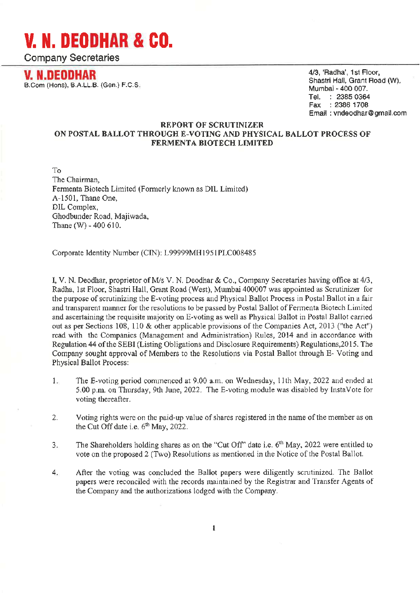**Company Secretaries** 

**V. N.DEODHAR** B.Com (Hons), B.A.LL.B. (Gen.) F.C.S. 4/3, 'Radha', 1st Floor, Shastri Hall, Grant Road (W). Mumbai - 400 007. Tel. : 2385 0364 Fax: : 2386 1708 Email: vndeodhar@gmail.com

#### **REPORT OF SCRUTINIZER** ON POSTAL BALLOT THROUGH E-VOTING AND PHYSICAL BALLOT PROCESS OF FERMENTA BIOTECH LIMITED

To The Chairman. Fermenta Biotech Limited (Formerly known as DIL Limited) A-1501. Thane One. DIL Complex. Ghodbunder Road, Majiwada, Thane (W) -  $400610$ .

Corporate Identity Number (CIN): L99999MH1951PLC008485

I, V. N. Deodhar, proprietor of M/s V. N. Deodhar & Co., Company Secretaries having office at 4/3, Radha, 1st Floor, Shastri Hall, Grant Road (West), Mumbai 400007 was appointed as Scrutinizer for the purpose of scrutinizing the E-voting process and Physical Ballot Process in Postal Ballot in a fair and transparent manner for the resolutions to be passed by Postal Ballot of Fermenta Biotech Limited and ascertaining the requisite majority on E-voting as well as Physical Ballot in Postal Ballot carried out as per Sections 108, 110 & other applicable provisions of the Companies Act, 2013 ("the Act") read with the Companies (Management and Administration) Rules, 2014 and in accordance with Regulation 44 of the SEBI (Listing Obligations and Disclosure Requirements) Regulations, 2015. The Company sought approval of Members to the Resolutions via Postal Ballot through E-Voting and Physical Ballot Process:

- $1.$ The E-voting period commenced at 9.00 a.m. on Wednesday, 11th May, 2022 and ended at 5.00 p.m. on Thursday, 9th June, 2022. The E-voting module was disabled by InstaVote for voting thereafter.
- $2.$ Voting rights were on the paid-up value of shares registered in the name of the member as on the Cut Off date i.e. 6<sup>th</sup> May, 2022.
- The Shareholders holding shares as on the "Cut Off" date i.e. 6<sup>th</sup> May, 2022 were entitled to  $3.$ vote on the proposed 2 (Two) Resolutions as mentioned in the Notice of the Postal Ballot.
- 4. After the voting was concluded the Ballot papers were diligently scrutinized. The Ballot papers were reconciled with the records maintained by the Registrar and Transfer Agents of the Company and the authorizations lodged with the Company.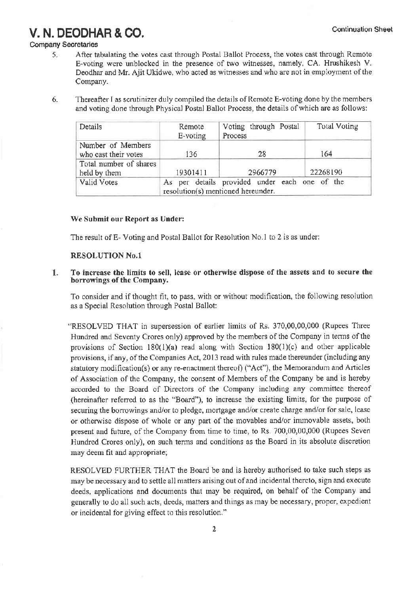### **Company Secretaries**

- After tabulating the votes cast through Postal Ballot Process, the votes cast through Remote 5. E-voting were unblocked in the presence of two witnesses, namely, CA. Hrushikesh V. Deodhar and Mr. Ajit Ukidwe, who acted as witnesses and who are not in employment of the Company.
- $6.$ Thereafter I as scrutinizer duly compiled the details of Remote E-voting done by the members and voting done through Physical Postal Ballot Process, the details of which are as follows:

| Details                | Remote<br>E-voting                 | Voting through Postal<br>Process              | Total Voting |  |  |  |
|------------------------|------------------------------------|-----------------------------------------------|--------------|--|--|--|
| Number of Members      |                                    |                                               |              |  |  |  |
| who cast their votes   | 136                                | 28                                            | 164          |  |  |  |
| Total number of shares |                                    |                                               |              |  |  |  |
| held by them           | 19301411                           | 2966779                                       | 22268190     |  |  |  |
| Valid Votes            |                                    | As per details provided under each one of the |              |  |  |  |
|                        | resolution(s) mentioned hereunder. |                                               |              |  |  |  |

#### We Submit our Report as Under:

The result of E-Voting and Postal Ballot for Resolution No.1 to 2 is as under:

#### **RESOLUTION No.1**

#### To increase the limits to sell, lease or otherwise dispose of the assets and to secure the  $1.$ borrowings of the Company.

To consider and if thought fit, to pass, with or without modification, the following resolution as a Special Resolution through Postal Ballot:

"RESOLVED THAT in supersession of earlier limits of Rs. 370,00,00,000 (Rupees Three Hundred and Seventy Crores only) approved by the members of the Company in terms of the provisions of Section 180(1)(a) read along with Section 180(1)(c) and other applicable provisions, if any, of the Companies Act, 2013 read with rules made thereunder (including any statutory modification(s) or any re-enactment thereof) ("Act"), the Memorandum and Articles of Association of the Company, the consent of Members of the Company be and is hereby accorded to the Board of Directors of the Company including any committee thereof (hereinafter referred to as the "Board"), to increase the existing limits, for the purpose of securing the borrowings and/or to pledge, mortgage and/or create charge and/or for sale, lease or otherwise dispose of whole or any part of the movables and/or immovable assets, both present and future, of the Company from time to time, to Rs. 700,00,00,000 (Rupees Seven Hundred Crores only), on such terms and conditions as the Board in its absolute discretion may deem fit and appropriate;

RESOLVED FURTHER THAT the Board be and is hereby authorised to take such steps as may be necessary and to settle all matters arising out of and incidental thereto, sign and execute deeds, applications and documents that may be required, on behalf of the Company and generally to do all such acts, deeds, matters and things as may be necessary, proper, expedient or incidental for giving effect to this resolution."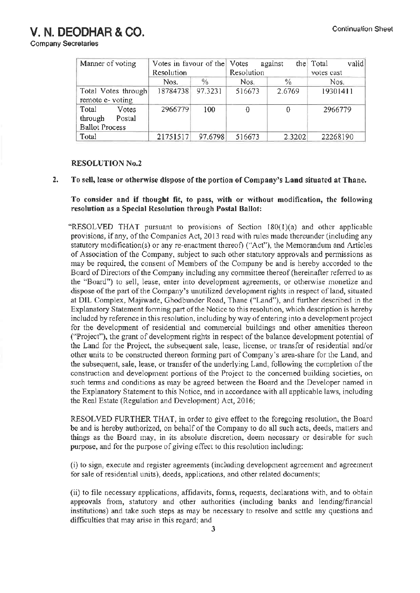**Company Secretaries** 

| Manner of voting      | Votes in favour of the Votes |         | the<br>against |               | valid<br>Total |  |
|-----------------------|------------------------------|---------|----------------|---------------|----------------|--|
|                       | Resolution                   |         | Resolution     |               | votes cast     |  |
|                       | Nos.                         | $\%$    | Nos.           | $\frac{0}{6}$ | Nos.           |  |
| Total Votes through   | 18784738 97.3231             |         | 516673         | 2.6769        | 19301411       |  |
| remote e-voting       |                              |         |                |               |                |  |
| Total<br>Votes        | 2966779                      | 100     | 0              | 0             | 2966779        |  |
| through<br>Postal     |                              |         |                |               |                |  |
| <b>Ballot Process</b> |                              |         |                |               |                |  |
| Total                 | 21751517                     | 97.6798 | 516673         | 2.3202        | 22268190       |  |

#### **RESOLUTION No.2**

#### $2.$ To sell, lease or otherwise dispose of the portion of Company's Land situated at Thane.

To consider and if thought fit, to pass, with or without modification, the following resolution as a Special Resolution through Postal Ballot:

"RESOLVED THAT pursuant to provisions of Section 180(1)(a) and other applicable provisions, if any, of the Companies Act, 2013 read with rules made thereunder (including any statutory modification(s) or any re-enactment thereof) ("Act"), the Memorandum and Articles of Association of the Company, subject to such other statutory approvals and permissions as may be required, the consent of Members of the Company be and is hereby accorded to the Board of Directors of the Company including any committee thereof (hereinafter referred to as the "Board") to sell, lease, enter into development agreements, or otherwise monetize and dispose of the part of the Company's unutilized development rights in respect of land, situated at DIL Complex, Majiwade, Ghodbunder Road, Thane ("Land"), and further described in the Explanatory Statement forming part of the Notice to this resolution, which description is hereby included by reference in this resolution, including by way of entering into a development project for the development of residential and commercial buildings and other amenities thereon ("Project"), the grant of development rights in respect of the balance development potential of the Land for the Project, the subsequent sale, lease, license, or transfer of residential and/or other units to be constructed thereon forming part of Company's area-share for the Land, and the subsequent, sale, lease, or transfer of the underlying Land, following the completion of the construction and development portions of the Project to the concerned building societies, on such terms and conditions as may be agreed between the Board and the Developer named in the Explanatory Statement to this Notice, and in accordance with all applicable laws, including the Real Estate (Regulation and Development) Act, 2016;

RESOLVED FURTHER THAT, in order to give effect to the foregoing resolution, the Board be and is hereby authorized, on behalf of the Company to do all such acts, deeds, matters and things as the Board may, in its absolute discretion, deem necessary or desirable for such purpose, and for the purpose of giving effect to this resolution including:

(i) to sign, execute and register agreements (including development agreement and agreement for sale of residential units), deeds, applications, and other related documents;

(ii) to file necessary applications, affidavits, forms, requests, declarations with, and to obtain approvals from, statutory and other authorities (including banks and lending/financial institutions) and take such steps as may be necessary to resolve and settle any questions and difficulties that may arise in this regard; and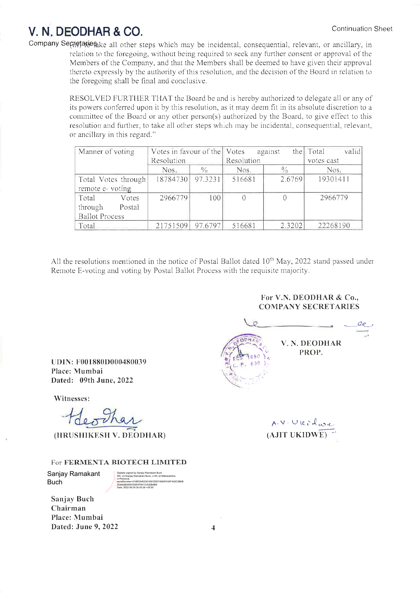Company Secretation all other steps which may be incidental, consequential, relevant, or ancillary, in relation to the foregoing, without being required to seek any further consent or approval of the Members of the Company, and that the Members shall be deemed to have given their approval thereto expressly by the authority of this resolution, and the decision of the Board in relation to the foregoing shall be final and conclusive.

> RESOLVED FURTHER THAT the Board be and is hereby authorized to delegate all or any of its powers conferred upon it by this resolution, as it may deem fit in its absolute discretion to a committee of the Board or any other person(s) authorized by the Board, to give effect to this resolution and further, to take all other steps which may be incidental, consequential, relevant, or ancillary in this regard."

| Manner of voting      | Votes in favour of the Votes |               | against    |               | valid<br>the Total |  |
|-----------------------|------------------------------|---------------|------------|---------------|--------------------|--|
|                       | Resolution                   |               | Resolution |               | votes cast         |  |
|                       | Nos.                         | $\frac{0}{0}$ | Nos.       | $\frac{0}{0}$ | Nos.               |  |
| Total Votes through   | 18784730                     | 97.3231       | 516681     | 2.6769        | 19301411           |  |
| remote e-voting       |                              |               |            |               |                    |  |
| Total<br>Votes        | 2966779                      | 100           | $\Omega$   | $\theta$      | 2966779            |  |
| through<br>Postal     |                              |               |            |               |                    |  |
| <b>Ballot Process</b> |                              |               |            |               |                    |  |
| Total                 | 21751509                     | 97.6797       | 516681     | 2.3202        | 22268190           |  |

All the resolutions mentioned in the notice of Postal Ballot dated 10<sup>th</sup> May, 2022 stand passed under Remote E-voting and voting by Postal Ballot Process with the requisite majority.

> For V.N. DEODHAR & Co., **COMPANY SECRETARIES**

V. N. DEODHAR PROP.

A.V. Uleidwe  $(AJIT UKIDWE)$ 

UDIN: F001880D000480039 Place: Mumbai Dated: 09th June, 2022

Witnesses:

deother

(HRUSHIKESH V. DEODHAR)

#### For FERMENTA BIOTECH LIMITED

Sanjay Ramakant **Buch** 

016ED5402301991E5D74080F434FA520

Sanjay Buch Chairman Place: Mumbai Dated: June 9, 2022